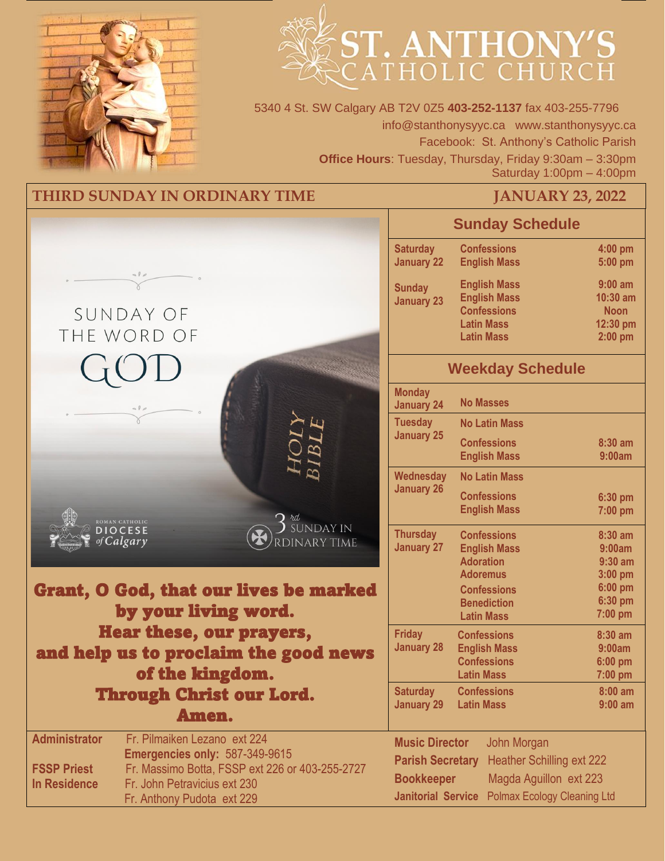



5340 4 St. SW Calgary AB T2V 0Z5 **403-252-1137** fax 403-255-7796 info@stanthonysyyc.ca www.stanthonysyyc.ca Facebook: St. Anthony's Catholic Parish **Office Hours**: Tuesday, Thursday, Friday 9:30am – 3:30pm Saturday 1:00pm – 4:00pm

### **THIRD SUNDAY IN ORDINARY TIME JANUARY 23, 2022**

|                                                                                                                                                                                                                                                             |                                                                                                    | <b>Sunday Schedule</b>                                                                                     |                                                                 |
|-------------------------------------------------------------------------------------------------------------------------------------------------------------------------------------------------------------------------------------------------------------|----------------------------------------------------------------------------------------------------|------------------------------------------------------------------------------------------------------------|-----------------------------------------------------------------|
|                                                                                                                                                                                                                                                             | <b>Saturday</b><br><b>January 22</b>                                                               | <b>Confessions</b><br><b>English Mass</b>                                                                  | 4:00 pm<br>5:00 pm                                              |
| 000<br>SUNDAY OF<br>THE WORD OF                                                                                                                                                                                                                             | <b>Sunday</b><br><b>January 23</b>                                                                 | <b>English Mass</b><br><b>English Mass</b><br><b>Confessions</b><br><b>Latin Mass</b><br><b>Latin Mass</b> | $9:00$ am<br>$10:30$ am<br><b>Noon</b><br>12:30 pm<br>$2:00$ pm |
|                                                                                                                                                                                                                                                             |                                                                                                    | <b>Weekday Schedule</b>                                                                                    |                                                                 |
|                                                                                                                                                                                                                                                             | <b>Monday</b><br><b>January 24</b>                                                                 | <b>No Masses</b>                                                                                           |                                                                 |
|                                                                                                                                                                                                                                                             | <b>Tuesday</b><br><b>January 25</b>                                                                | <b>No Latin Mass</b><br><b>Confessions</b><br><b>English Mass</b>                                          | 8:30 am<br>9:00am                                               |
| rd                                                                                                                                                                                                                                                          | Wednesday<br><b>January 26</b>                                                                     | <b>No Latin Mass</b><br><b>Confessions</b><br><b>English Mass</b>                                          | 6:30 pm<br>7:00 pm                                              |
| ROMAN CATHOLIC<br><b>SUNDAY IN</b><br><b>DIOCESE</b><br><b>DINARY TIME</b><br>of Calgary<br>Grant, O God, that our lives be marked                                                                                                                          | <b>Thursday</b><br><b>January 27</b>                                                               | <b>Confessions</b><br><b>English Mass</b><br><b>Adoration</b><br><b>Adoremus</b><br><b>Confessions</b>     | 8:30 am<br>9:00am<br>$9:30$ am<br>3:00 pm<br>6:00 pm            |
| by your living word.                                                                                                                                                                                                                                        |                                                                                                    | <b>Benediction</b><br><b>Latin Mass</b>                                                                    | 6:30 pm<br>$7:00$ pm                                            |
| Hear these, our prayers,<br>and help us to proclaim the good news<br>of the kingdom.                                                                                                                                                                        | <b>Friday</b><br><b>January 28</b>                                                                 | <b>Confessions</b><br><b>English Mass</b><br><b>Confessions</b><br><b>Latin Mass</b>                       | $8:30$ am<br>9:00am<br>6:00 pm<br>$7:00$ pm                     |
| <b>Through Christ our Lord.</b><br>Amen.                                                                                                                                                                                                                    | <b>Saturday</b><br><b>January 29 Latin Mass</b>                                                    | <b>Confessions</b>                                                                                         | $8:00$ am<br>$9:00$ am                                          |
| <b>Administrator</b><br>Fr. Pilmaiken Lezano ext 224<br><b>Emergencies only: 587-349-9615</b><br>Fr. Massimo Botta, FSSP ext 226 or 403-255-2727<br><b>FSSP Priest</b><br>Fr. John Petravicius ext 230<br><b>In Residence</b><br>Fr. Anthony Pudota ext 229 | <b>Music Director</b><br><b>Parish Secretary</b><br><b>Bookkeeper</b><br><b>Janitorial Service</b> | John Morgan<br><b>Heather Schilling ext 222</b><br>Magda Aguillon ext 223<br>Polmax Ecology Cleaning Ltd   |                                                                 |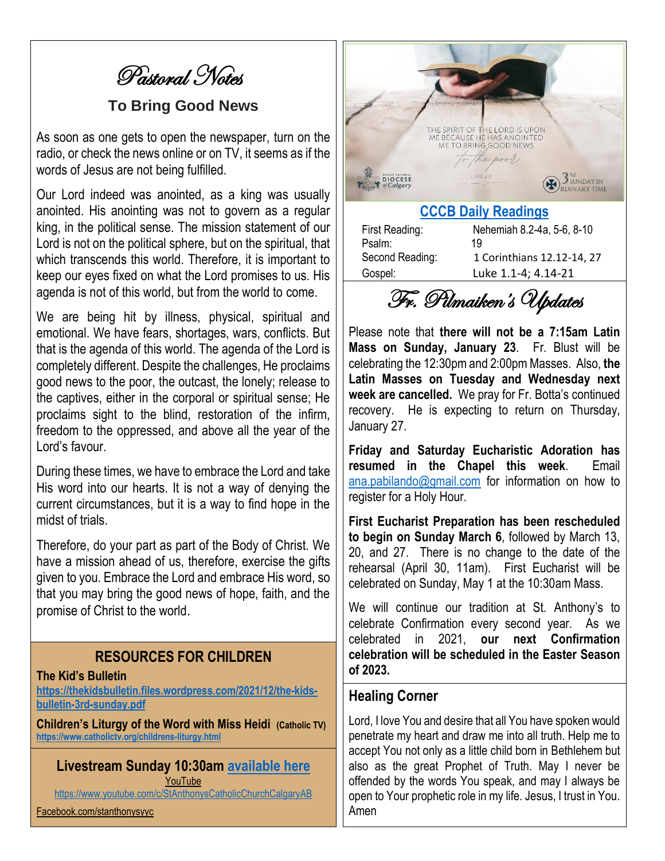Pastoral Notes

#### **To Bring Good News**

As soon as one gets to open the newspaper, turn on the radio, or check the news online or on TV, it seems as if the words of Jesus are not being fulfilled.

Our Lord indeed was anointed, as a king was usually anointed. His anointing was not to govern as a regular king, in the political sense. The mission statement of our Lord is not on the political sphere, but on the spiritual, that which transcends this world. Therefore, it is important to keep our eyes fixed on what the Lord promises to us. His agenda is not of this world, but from the world to come.

We are being hit by illness, physical, spiritual and emotional. We have fears, shortages, wars, conflicts. But that is the agenda of this world. The agenda of the Lord is completely different. Despite the challenges, He proclaims good news to the poor, the outcast, the lonely; release to the captives, either in the corporal or spiritual sense; He proclaims sight to the blind, restoration of the infirm, freedom to the oppressed, and above all the year of the Lord's favour.

During these times, we have to embrace the Lord and take His word into our hearts. It is not a way of denying the current circumstances, but it is a way to find hope in the midst of trials.

Therefore, do your part as part of the Body of Christ. We have a mission ahead of us, therefore, exercise the gifts given to you. Embrace the Lord and embrace His word, so that you may bring the good news of hope, faith, and the promise of Christ to the world.

#### **RESOURCES FOR CHILDREN**

#### **The Kid's Bulletin**

**https://thekidsbulletin.files.wordpress.com/2021/12/the-kidsbulletin-3rd-sunday.pdf**

**Children's Liturgy of the Word with Miss Heidi (Catholic TV) https://www.catholictv.org/childrens-liturgy.html**

**Livestream Sunday 10:30am available here** YouTube https://www.youtube.com/c/StAnthonysCatholicChurchCalgaryAB

Facebook.com/stanthonysyyc



Second Reading: 1 Corinthians 12.12-14, 27 Gospel: Luke 1.1-4; 4.14-21

Fr. Pilmaiken's Updates

Please note that **there will not be a 7:15am Latin Mass on Sunday, January 23**. Fr. Blust will be celebrating the 12:30pm and 2:00pm Masses. Also, **the Latin Masses on Tuesday and Wednesday next week are cancelled.** We pray for Fr. Botta's continued recovery. He is expecting to return on Thursday, January 27.

**Friday and Saturday Eucharistic Adoration has resumed in the Chapel this week**. Email ana.pabilando@gmail.com for information on how to register for a Holy Hour.

**First Eucharist Preparation has been rescheduled to begin on Sunday March 6**, followed by March 13, 20, and 27. There is no change to the date of the rehearsal (April 30, 11am). First Eucharist will be celebrated on Sunday, May 1 at the 10:30am Mass.

We will continue our tradition at St. Anthony's to celebrate Confirmation every second year. As we celebrated in 2021, **our next Confirmation celebration will be scheduled in the Easter Season of 2023.**

#### **Healing Corner**

Lord, I love You and desire that all You have spoken would penetrate my heart and draw me into all truth. Help me to accept You not only as a little child born in Bethlehem but also as the great Prophet of Truth. May I never be offended by the words You speak, and may I always be open to Your prophetic role in my life. Jesus, I trust in You. Amen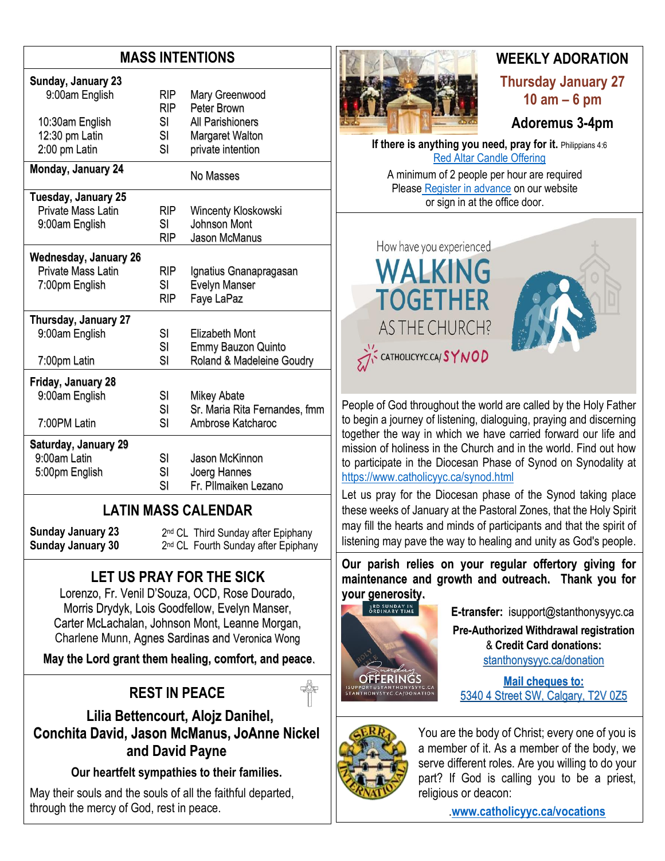## **MASS INTENTIONS**

| Sunday, January 23<br>9:00am English | RIP.<br><b>RIP</b> | Mary Greenwood<br>Peter Brown |
|--------------------------------------|--------------------|-------------------------------|
| 10:30am English                      | SI.                | All Parishioners              |
| 12:30 pm Latin                       | SI                 | <b>Margaret Walton</b>        |
| 2:00 pm Latin                        | SI                 | private intention             |
| <b>Monday, January 24</b>            |                    | No Masses                     |
| Tuesday, January 25                  |                    |                               |
| Private Mass Latin                   | RIP.               | Wincenty Kloskowski           |
| 9:00am English                       | SI                 | Johnson Mont                  |
|                                      | <b>RIP</b>         | Jason McManus                 |
| <b>Wednesday, January 26</b>         |                    |                               |
| <b>Private Mass Latin</b>            | RIP.               | Ignatius Gnanapragasan        |
| 7:00pm English                       | SI                 | <b>Evelyn Manser</b>          |
|                                      | <b>RIP</b>         | Faye LaPaz                    |
| Thursday, January 27                 |                    |                               |
| 9:00am English                       | SI                 | Elizabeth Mont                |
|                                      | SI                 | Emmy Bauzon Quinto            |
| 7:00pm Latin                         | SI                 | Roland & Madeleine Goudry     |
| Friday, January 28                   |                    |                               |
| 9:00am English                       | SI                 | Mikey Abate                   |
|                                      | SI                 | Sr. Maria Rita Fernandes, fmm |
| 7:00PM Latin                         | SI                 | Ambrose Katcharoc             |
| Saturday, January 29                 |                    |                               |
| 9:00am Latin                         | SI                 | Jason McKinnon                |
| 5:00pm English                       | SI                 | Joerg Hannes                  |
|                                      | SI                 | Fr. Pllmaiken Lezano          |

## **LATIN MASS CALENDAR**

**Sunday January 23 Sunday January 30** 2<sup>nd</sup> CL Third Sunday after Epiphany 2<sup>nd</sup> CL Fourth Sunday after Epiphany

# **LET US PRAY FOR THE SICK**

Lorenzo, Fr. Venil D'Souza, OCD, Rose Dourado, Morris Drydyk, Lois Goodfellow, Evelyn Manser, Carter McLachalan, Johnson Mont, Leanne Morgan, Charlene Munn, Agnes Sardinas and Veronica Wong

**May the Lord grant them healing, comfort, and peace**.

# **REST IN PEACE**

 **Lilia Bettencourt, Alojz Danihel, Conchita David, Jason McManus, JoAnne Nickel and David Payne**

**Our heartfelt sympathies to their families.**

May their souls and the souls of all the faithful departed, through the mercy of God, rest in peace.



## **WEEKLY ADORATION Thursday January 27 10 am – 6 pm**

**Adoremus 3-4pm**

**If there is anything you need, pray for it.** Philippians 4:6 Red Altar Candle Offering

A minimum of 2 people per hour are required Please Register in advance on our website or sign in at the office door.



People of God throughout the world are called by the Holy Father to begin a journey of listening, dialoguing, praying and discerning together the way in which we have carried forward our life and mission of holiness in the Church and in the world. Find out how to participate in the Diocesan Phase of Synod on Synodality at https://www.catholicyyc.ca/synod.html

Let us pray for the Diocesan phase of the Synod taking place these weeks of January at the Pastoral Zones, that the Holy Spirit may fill the hearts and minds of participants and that the spirit of listening may pave the way to healing and unity as God's people.

**Our parish relies on your regular offertory giving for maintenance and growth and outreach. Thank you for your generosity.** 



**E-transfer:** isupport@stanthonysyyc.ca **Pre-Authorized Withdrawal registration**  & **Credit Card donations:** stanthonysyyc.ca/donation

**Mail cheques to:** 5340 4 Street SW, Calgary, T2V 0Z5



You are the body of Christ; every one of you is a member of it. As a member of the body, we serve different roles. Are you willing to do your part? If God is calling you to be a priest, religious or deacon:

.**www.catholicyyc.ca/vocations**